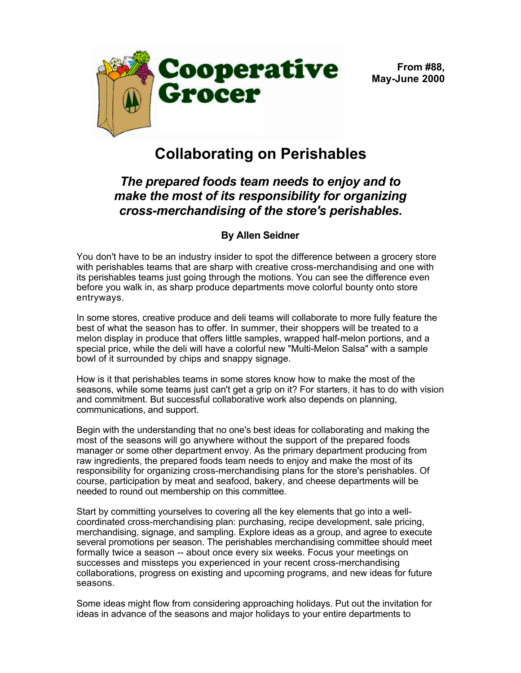



## **Collaborating on Perishables**

## *The prepared foods team needs to enjoy and to make the most of its responsibility for organizing cross-merchandising of the store's perishables.*

## **By Allen Seidner**

You don't have to be an industry insider to spot the difference between a grocery store with perishables teams that are sharp with creative cross-merchandising and one with its perishables teams just going through the motions. You can see the difference even before you walk in, as sharp produce departments move colorful bounty onto store entryways.

In some stores, creative produce and deli teams will collaborate to more fully feature the best of what the season has to offer. In summer, their shoppers will be treated to a melon display in produce that offers little samples, wrapped half-melon portions, and a special price, while the deli will have a colorful new "Multi-Melon Salsa" with a sample bowl of it surrounded by chips and snappy signage.

How is it that perishables teams in some stores know how to make the most of the seasons, while some teams just can't get a grip on it? For starters, it has to do with vision and commitment. But successful collaborative work also depends on planning, communications, and support.

Begin with the understanding that no one's best ideas for collaborating and making the most of the seasons will go anywhere without the support of the prepared foods manager or some other department envoy. As the primary department producing from raw ingredients, the prepared foods team needs to enjoy and make the most of its responsibility for organizing cross-merchandising plans for the store's perishables. Of course, participation by meat and seafood, bakery, and cheese departments will be needed to round out membership on this committee.

Start by committing yourselves to covering all the key elements that go into a wellcoordinated cross-merchandising plan: purchasing, recipe development, sale pricing, merchandising, signage, and sampling. Explore ideas as a group, and agree to execute several promotions per season. The perishables merchandising committee should meet formally twice a season -- about once every six weeks. Focus your meetings on successes and missteps you experienced in your recent cross-merchandising collaborations, progress on existing and upcoming programs, and new ideas for future seasons.

Some ideas might flow from considering approaching holidays. Put out the invitation for ideas in advance of the seasons and major holidays to your entire departments to